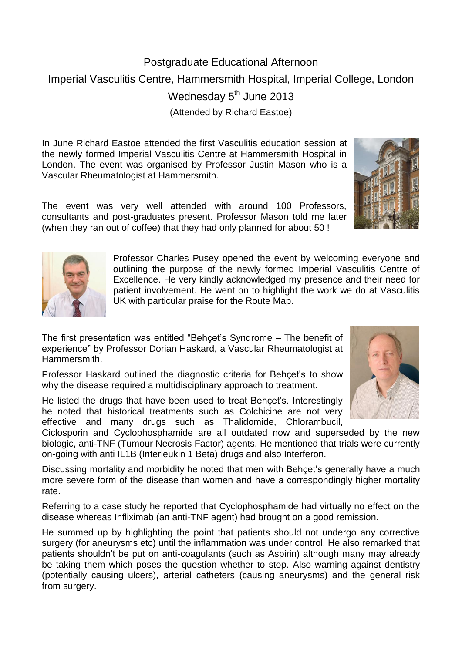## Postgraduate Educational Afternoon Imperial Vasculitis Centre, Hammersmith Hospital, Imperial College, London Wednesday 5<sup>th</sup> June 2013 (Attended by Richard Eastoe)

In June Richard Eastoe attended the first Vasculitis education session at the newly formed Imperial Vasculitis Centre at Hammersmith Hospital in London. The event was organised by Professor Justin Mason who is a Vascular Rheumatologist at Hammersmith.

The event was very well attended with around 100 Professors, consultants and post-graduates present. Professor Mason told me later (when they ran out of coffee) that they had only planned for about 50 !

> Professor Charles Pusey opened the event by welcoming everyone and outlining the purpose of the newly formed Imperial Vasculitis Centre of Excellence. He very kindly acknowledged my presence and their need for patient involvement. He went on to highlight the work we do at Vasculitis UK with particular praise for the Route Map.

The first presentation was entitled "Behçet's Syndrome – The benefit of experience" by Professor Dorian Haskard, a Vascular Rheumatologist at Hammersmith.

Professor Haskard outlined the diagnostic criteria for Behçet's to show why the disease required a multidisciplinary approach to treatment.

He listed the drugs that have been used to treat Behçet's. Interestingly he noted that historical treatments such as Colchicine are not very effective and many drugs such as Thalidomide, Chlorambucil,

Ciclosporin and Cyclophosphamide are all outdated now and superseded by the new biologic, anti-TNF (Tumour Necrosis Factor) agents. He mentioned that trials were currently on-going with anti IL1B (Interleukin 1 Beta) drugs and also Interferon.

Discussing mortality and morbidity he noted that men with Behçet's generally have a much more severe form of the disease than women and have a correspondingly higher mortality rate.

Referring to a case study he reported that Cyclophosphamide had virtually no effect on the disease whereas Infliximab (an anti-TNF agent) had brought on a good remission.

He summed up by highlighting the point that patients should not undergo any corrective surgery (for aneurysms etc) until the inflammation was under control. He also remarked that patients shouldn't be put on anti-coagulants (such as Aspirin) although many may already be taking them which poses the question whether to stop. Also warning against dentistry (potentially causing ulcers), arterial catheters (causing aneurysms) and the general risk from surgery.





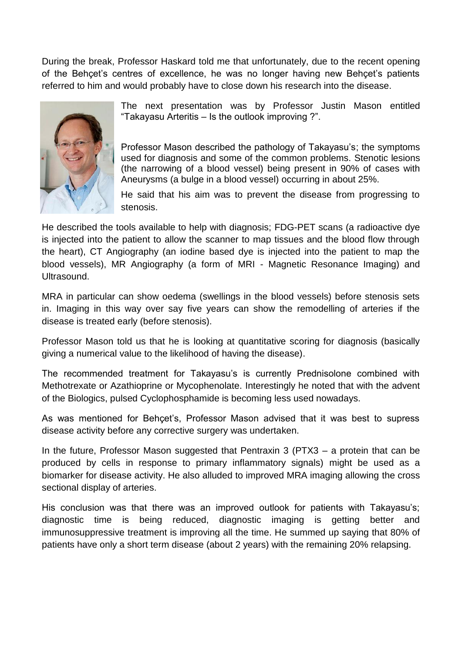During the break, Professor Haskard told me that unfortunately, due to the recent opening of the Behçet's centres of excellence, he was no longer having new Behçet's patients referred to him and would probably have to close down his research into the disease.



The next presentation was by Professor Justin Mason entitled "Takayasu Arteritis – Is the outlook improving ?".

Professor Mason described the pathology of Takayasu's; the symptoms used for diagnosis and some of the common problems. Stenotic lesions (the narrowing of a blood vessel) being present in 90% of cases with Aneurysms (a bulge in a blood vessel) occurring in about 25%.

He said that his aim was to prevent the disease from progressing to stenosis.

He described the tools available to help with diagnosis; FDG-PET scans (a radioactive dye is injected into the patient to allow the scanner to map tissues and the blood flow through the heart), CT Angiography (an iodine based dye is injected into the patient to map the blood vessels), MR Angiography (a form of MRI - Magnetic Resonance Imaging) and Ultrasound.

MRA in particular can show oedema (swellings in the blood vessels) before stenosis sets in. Imaging in this way over say five years can show the remodelling of arteries if the disease is treated early (before stenosis).

Professor Mason told us that he is looking at quantitative scoring for diagnosis (basically giving a numerical value to the likelihood of having the disease).

The recommended treatment for Takayasu's is currently Prednisolone combined with Methotrexate or Azathioprine or Mycophenolate. Interestingly he noted that with the advent of the Biologics, pulsed Cyclophosphamide is becoming less used nowadays.

As was mentioned for Behçet's, Professor Mason advised that it was best to supress disease activity before any corrective surgery was undertaken.

In the future, Professor Mason suggested that Pentraxin 3 (PTX3 – a protein that can be produced by cells in response to primary inflammatory signals) might be used as a biomarker for disease activity. He also alluded to improved MRA imaging allowing the cross sectional display of arteries.

His conclusion was that there was an improved outlook for patients with Takayasu's; diagnostic time is being reduced, diagnostic imaging is getting better and immunosuppressive treatment is improving all the time. He summed up saying that 80% of patients have only a short term disease (about 2 years) with the remaining 20% relapsing.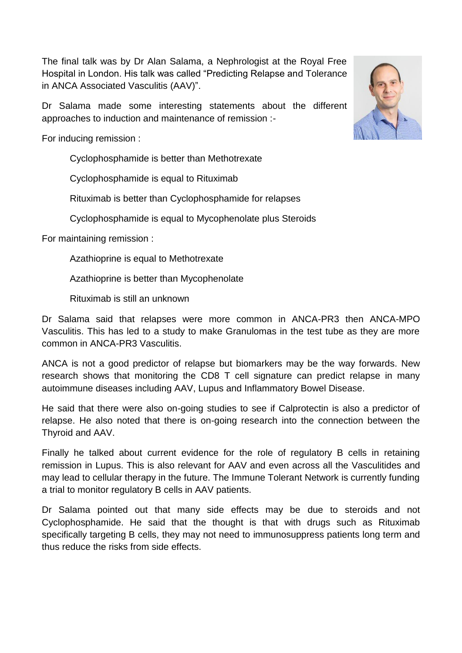The final talk was by Dr Alan Salama, a Nephrologist at the Royal Free Hospital in London. His talk was called "Predicting Relapse and Tolerance in ANCA Associated Vasculitis (AAV)".

Dr Salama made some interesting statements about the different approaches to induction and maintenance of remission :-

For inducing remission :

Cyclophosphamide is better than Methotrexate

Cyclophosphamide is equal to Rituximab

Rituximab is better than Cyclophosphamide for relapses

Cyclophosphamide is equal to Mycophenolate plus Steroids

For maintaining remission :

Azathioprine is equal to Methotrexate

Azathioprine is better than Mycophenolate

Rituximab is still an unknown

Dr Salama said that relapses were more common in ANCA-PR3 then ANCA-MPO Vasculitis. This has led to a study to make Granulomas in the test tube as they are more common in ANCA-PR3 Vasculitis.

ANCA is not a good predictor of relapse but biomarkers may be the way forwards. New research shows that monitoring the CD8 T cell signature can predict relapse in many autoimmune diseases including AAV, Lupus and Inflammatory Bowel Disease.

He said that there were also on-going studies to see if Calprotectin is also a predictor of relapse. He also noted that there is on-going research into the connection between the Thyroid and AAV.

Finally he talked about current evidence for the role of regulatory B cells in retaining remission in Lupus. This is also relevant for AAV and even across all the Vasculitides and may lead to cellular therapy in the future. The Immune Tolerant Network is currently funding a trial to monitor regulatory B cells in AAV patients.

Dr Salama pointed out that many side effects may be due to steroids and not Cyclophosphamide. He said that the thought is that with drugs such as Rituximab specifically targeting B cells, they may not need to immunosuppress patients long term and thus reduce the risks from side effects.

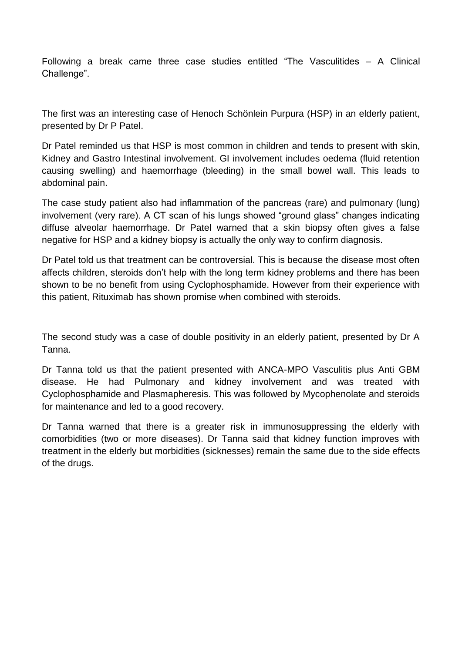Following a break came three case studies entitled "The Vasculitides – A Clinical Challenge".

The first was an interesting case of Henoch Schönlein Purpura (HSP) in an elderly patient, presented by Dr P Patel.

Dr Patel reminded us that HSP is most common in children and tends to present with skin, Kidney and Gastro Intestinal involvement. GI involvement includes oedema (fluid retention causing swelling) and haemorrhage (bleeding) in the small bowel wall. This leads to abdominal pain.

The case study patient also had inflammation of the pancreas (rare) and pulmonary (lung) involvement (very rare). A CT scan of his lungs showed "ground glass" changes indicating diffuse alveolar haemorrhage. Dr Patel warned that a skin biopsy often gives a false negative for HSP and a kidney biopsy is actually the only way to confirm diagnosis.

Dr Patel told us that treatment can be controversial. This is because the disease most often affects children, steroids don't help with the long term kidney problems and there has been shown to be no benefit from using Cyclophosphamide. However from their experience with this patient, Rituximab has shown promise when combined with steroids.

The second study was a case of double positivity in an elderly patient, presented by Dr A Tanna.

Dr Tanna told us that the patient presented with ANCA-MPO Vasculitis plus Anti GBM disease. He had Pulmonary and kidney involvement and was treated with Cyclophosphamide and Plasmapheresis. This was followed by Mycophenolate and steroids for maintenance and led to a good recovery.

Dr Tanna warned that there is a greater risk in immunosuppressing the elderly with comorbidities (two or more diseases). Dr Tanna said that kidney function improves with treatment in the elderly but morbidities (sicknesses) remain the same due to the side effects of the drugs.